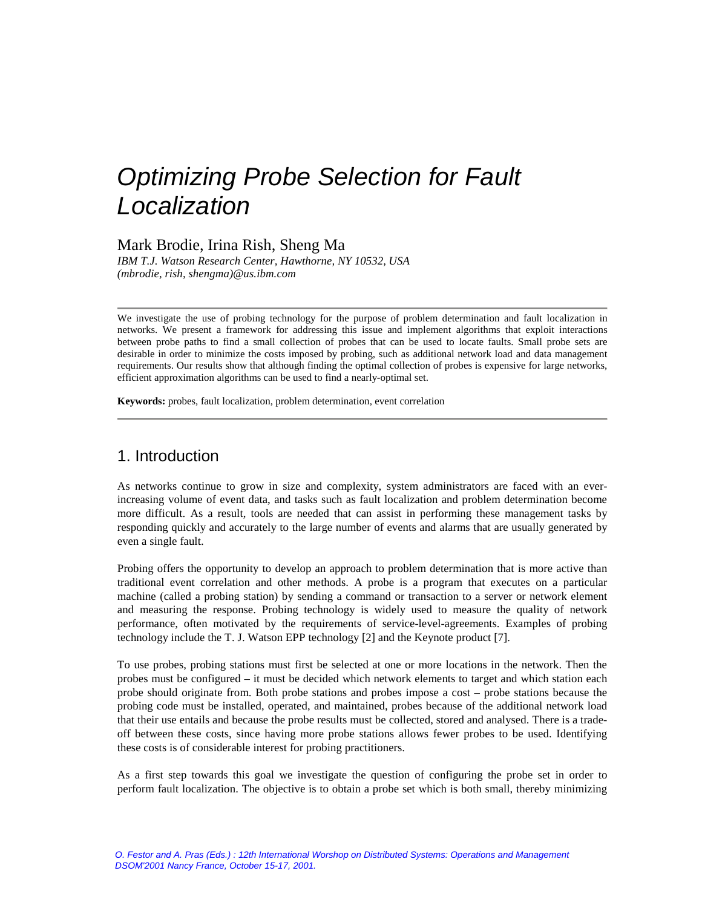Mark Brodie, Irina Rish, Sheng Ma

*IBM T.J. Watson Research Center, Hawthorne, NY 10532, USA (mbrodie, rish, shengma)@us.ibm.com* 

We investigate the use of probing technology for the purpose of problem determination and fault localization in networks. We present a framework for addressing this issue and implement algorithms that exploit interactions between probe paths to find a small collection of probes that can be used to locate faults. Small probe sets are desirable in order to minimize the costs imposed by probing, such as additional network load and data management requirements. Our results show that although finding the optimal collection of probes is expensive for large networks, efficient approximation algorithms can be used to find a nearly-optimal set.

**Keywords:** probes, fault localization, problem determination, event correlation

# 1. Introduction

As networks continue to grow in size and complexity, system administrators are faced with an everincreasing volume of event data, and tasks such as fault localization and problem determination become more difficult. As a result, tools are needed that can assist in performing these management tasks by responding quickly and accurately to the large number of events and alarms that are usually generated by even a single fault.

Probing offers the opportunity to develop an approach to problem determination that is more active than traditional event correlation and other methods. A probe is a program that executes on a particular machine (called a probing station) by sending a command or transaction to a server or network element and measuring the response. Probing technology is widely used to measure the quality of network performance, often motivated by the requirements of service-level-agreements. Examples of probing technology include the T. J. Watson EPP technology [2] and the Keynote product [7].

To use probes, probing stations must first be selected at one or more locations in the network. Then the probes must be configured – it must be decided which network elements to target and which station each probe should originate from. Both probe stations and probes impose a cost – probe stations because the probing code must be installed, operated, and maintained, probes because of the additional network load that their use entails and because the probe results must be collected, stored and analysed. There is a tradeoff between these costs, since having more probe stations allows fewer probes to be used. Identifying these costs is of considerable interest for probing practitioners.

As a first step towards this goal we investigate the question of configuring the probe set in order to perform fault localization. The objective is to obtain a probe set which is both small, thereby minimizing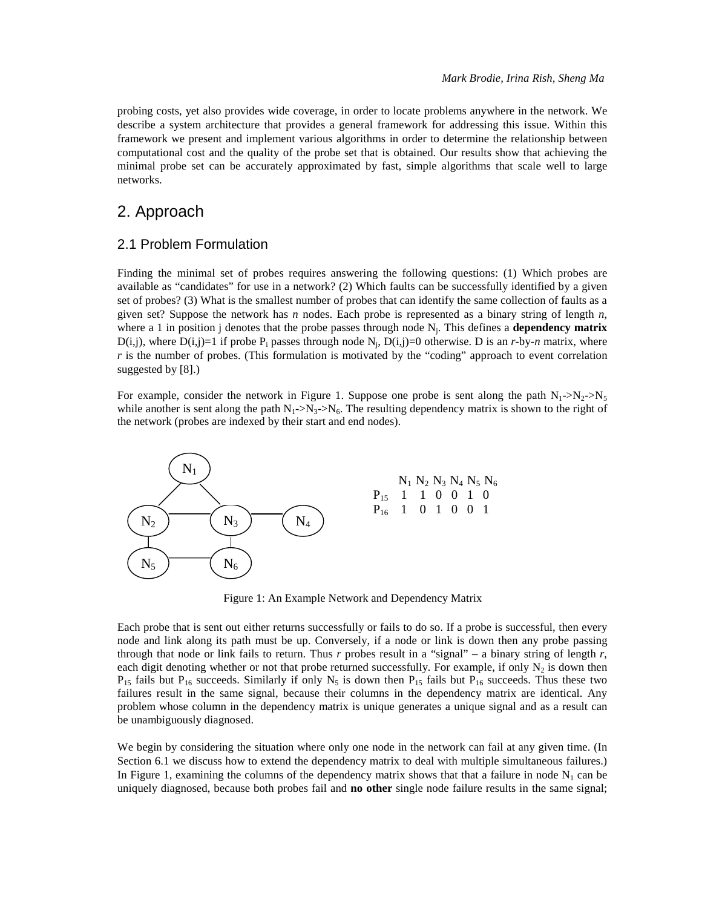probing costs, yet also provides wide coverage, in order to locate problems anywhere in the network. We describe a system architecture that provides a general framework for addressing this issue. Within this framework we present and implement various algorithms in order to determine the relationship between computational cost and the quality of the probe set that is obtained. Our results show that achieving the minimal probe set can be accurately approximated by fast, simple algorithms that scale well to large networks.

# 2. Approach

#### 2.1 Problem Formulation

Finding the minimal set of probes requires answering the following questions: (1) Which probes are available as "candidates" for use in a network? (2) Which faults can be successfully identified by a given set of probes? (3) What is the smallest number of probes that can identify the same collection of faults as a given set? Suppose the network has *n* nodes. Each probe is represented as a binary string of length *n*, where a 1 in position j denotes that the probe passes through node N<sub>i</sub>. This defines a **dependency matrix** D(i,j), where  $D(i,j)=1$  if probe  $P_i$  passes through node  $N_i$ ,  $D(i,j)=0$  otherwise. D is an *r*-by-*n* matrix, where *r* is the number of probes. (This formulation is motivated by the "coding" approach to event correlation suggested by [8].)

For example, consider the network in Figure 1. Suppose one probe is sent along the path  $N_1 > N_2 > N_5$ while another is sent along the path  $N_1$ -> $N_3$ -> $N_6$ . The resulting dependency matrix is shown to the right of the network (probes are indexed by their start and end nodes).



Figure 1: An Example Network and Dependency Matrix

Each probe that is sent out either returns successfully or fails to do so. If a probe is successful, then every node and link along its path must be up. Conversely, if a node or link is down then any probe passing through that node or link fails to return. Thus *r* probes result in a "signal" – a binary string of length *r*, each digit denoting whether or not that probe returned successfully. For example, if only  $N_2$  is down then  $P_{15}$  fails but  $P_{16}$  succeeds. Similarly if only N<sub>5</sub> is down then  $P_{15}$  fails but  $P_{16}$  succeeds. Thus these two failures result in the same signal, because their columns in the dependency matrix are identical. Any problem whose column in the dependency matrix is unique generates a unique signal and as a result can be unambiguously diagnosed.

We begin by considering the situation where only one node in the network can fail at any given time. (In Section 6.1 we discuss how to extend the dependency matrix to deal with multiple simultaneous failures.) In Figure 1, examining the columns of the dependency matrix shows that that a failure in node  $N_1$  can be uniquely diagnosed, because both probes fail and **no other** single node failure results in the same signal;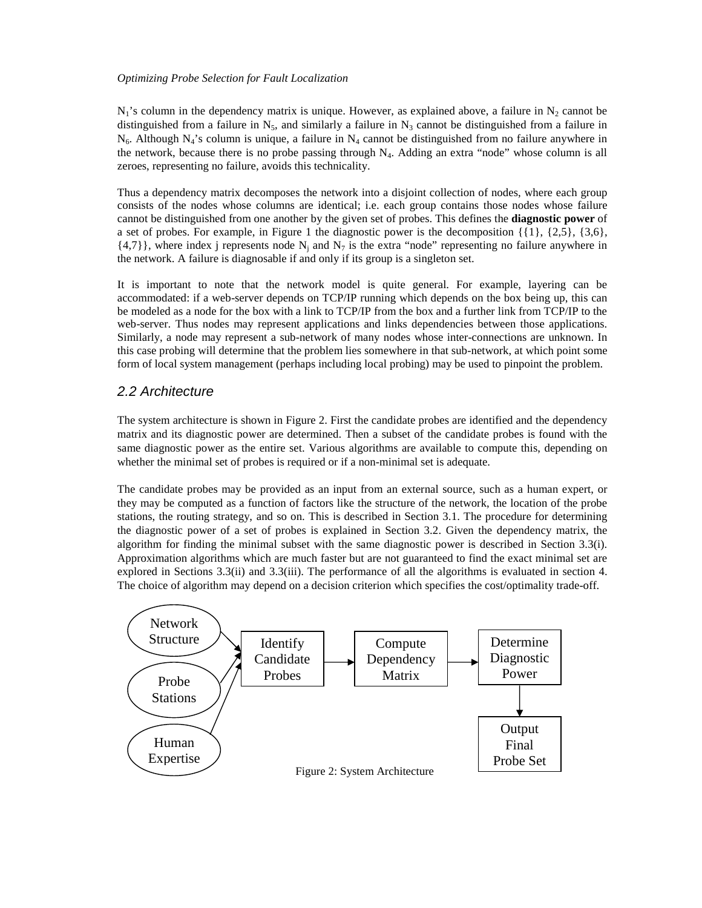$N_1$ 's column in the dependency matrix is unique. However, as explained above, a failure in  $N_2$  cannot be distinguished from a failure in  $N_5$ , and similarly a failure in  $N_3$  cannot be distinguished from a failure in  $N_6$ . Although  $N_4$ 's column is unique, a failure in  $N_4$  cannot be distinguished from no failure anywhere in the network, because there is no probe passing through  $N<sub>4</sub>$ . Adding an extra "node" whose column is all zeroes, representing no failure, avoids this technicality.

Thus a dependency matrix decomposes the network into a disjoint collection of nodes, where each group consists of the nodes whose columns are identical; i.e. each group contains those nodes whose failure cannot be distinguished from one another by the given set of probes. This defines the **diagnostic power** of a set of probes. For example, in Figure 1 the diagnostic power is the decomposition  $\{\{1\}, \{2,5\}, \{3,6\},\}$  $\{4,7\}$ , where index j represents node N<sub>i</sub> and N<sub>7</sub> is the extra "node" representing no failure anywhere in the network. A failure is diagnosable if and only if its group is a singleton set.

It is important to note that the network model is quite general. For example, layering can be accommodated: if a web-server depends on TCP/IP running which depends on the box being up, this can be modeled as a node for the box with a link to TCP/IP from the box and a further link from TCP/IP to the web-server. Thus nodes may represent applications and links dependencies between those applications. Similarly, a node may represent a sub-network of many nodes whose inter-connections are unknown. In this case probing will determine that the problem lies somewhere in that sub-network, at which point some form of local system management (perhaps including local probing) may be used to pinpoint the problem.

# *2.2 Architecture*

The system architecture is shown in Figure 2. First the candidate probes are identified and the dependency matrix and its diagnostic power are determined. Then a subset of the candidate probes is found with the same diagnostic power as the entire set. Various algorithms are available to compute this, depending on whether the minimal set of probes is required or if a non-minimal set is adequate.

The candidate probes may be provided as an input from an external source, such as a human expert, or they may be computed as a function of factors like the structure of the network, the location of the probe stations, the routing strategy, and so on. This is described in Section 3.1. The procedure for determining the diagnostic power of a set of probes is explained in Section 3.2. Given the dependency matrix, the algorithm for finding the minimal subset with the same diagnostic power is described in Section 3.3(i). Approximation algorithms which are much faster but are not guaranteed to find the exact minimal set are explored in Sections 3.3(ii) and 3.3(iii). The performance of all the algorithms is evaluated in section 4. The choice of algorithm may depend on a decision criterion which specifies the cost/optimality trade-off.

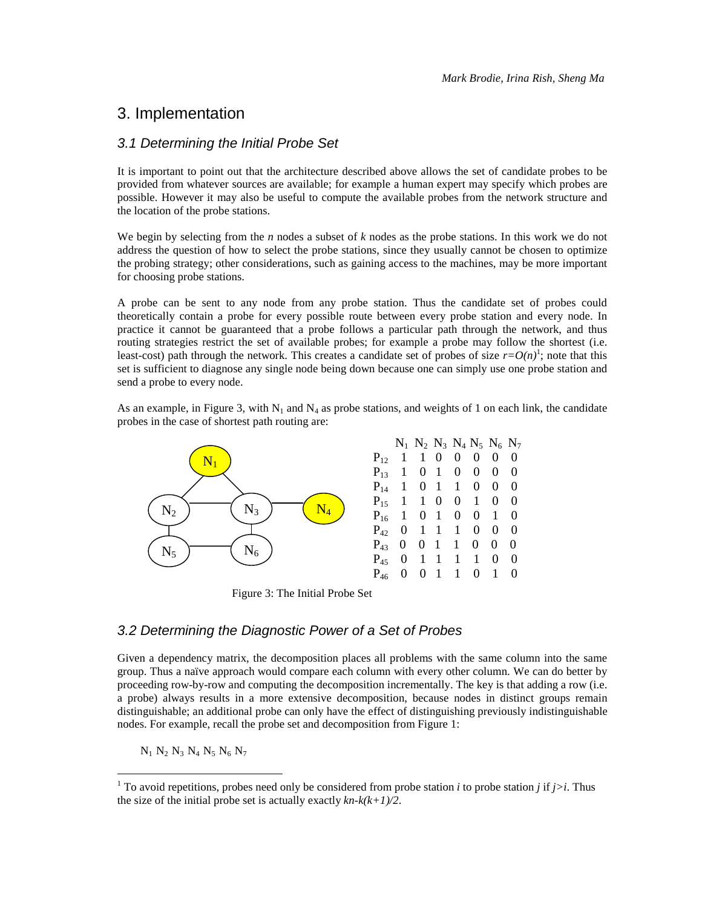# 3. Implementation

#### *3.1 Determining the Initial Probe Set*

It is important to point out that the architecture described above allows the set of candidate probes to be provided from whatever sources are available; for example a human expert may specify which probes are possible. However it may also be useful to compute the available probes from the network structure and the location of the probe stations.

We begin by selecting from the *n* nodes a subset of *k* nodes as the probe stations. In this work we do not address the question of how to select the probe stations, since they usually cannot be chosen to optimize the probing strategy; other considerations, such as gaining access to the machines, may be more important for choosing probe stations.

A probe can be sent to any node from any probe station. Thus the candidate set of probes could theoretically contain a probe for every possible route between every probe station and every node. In practice it cannot be guaranteed that a probe follows a particular path through the network, and thus routing strategies restrict the set of available probes; for example a probe may follow the shortest (i.e. least-cost) path through the network. This creates a candidate set of probes of size  $r=O(n)^1$ ; note that this set is sufficient to diagnose any single node being down because one can simply use one probe station and send a probe to every node.

As an example, in Figure 3, with  $N_1$  and  $N_4$  as probe stations, and weights of 1 on each link, the candidate probes in the case of shortest path routing are:



Figure 3: The Initial Probe Set

#### *3.2 Determining the Diagnostic Power of a Set of Probes*

Given a dependency matrix, the decomposition places all problems with the same column into the same group. Thus a naïve approach would compare each column with every other column. We can do better by proceeding row-by-row and computing the decomposition incrementally. The key is that adding a row (i.e. a probe) always results in a more extensive decomposition, because nodes in distinct groups remain distinguishable; an additional probe can only have the effect of distinguishing previously indistinguishable nodes. For example, recall the probe set and decomposition from Figure 1:

N<sub>1</sub> N<sub>2</sub> N<sub>3</sub> N<sub>4</sub> N<sub>5</sub> N<sub>6</sub> N<sub>7</sub>

 $\overline{a}$ 

<sup>&</sup>lt;sup>1</sup> To avoid repetitions, probes need only be considered from probe station *i* to probe station *j* if  $j > i$ . Thus the size of the initial probe set is actually exactly  $kn - k(k+1)/2$ .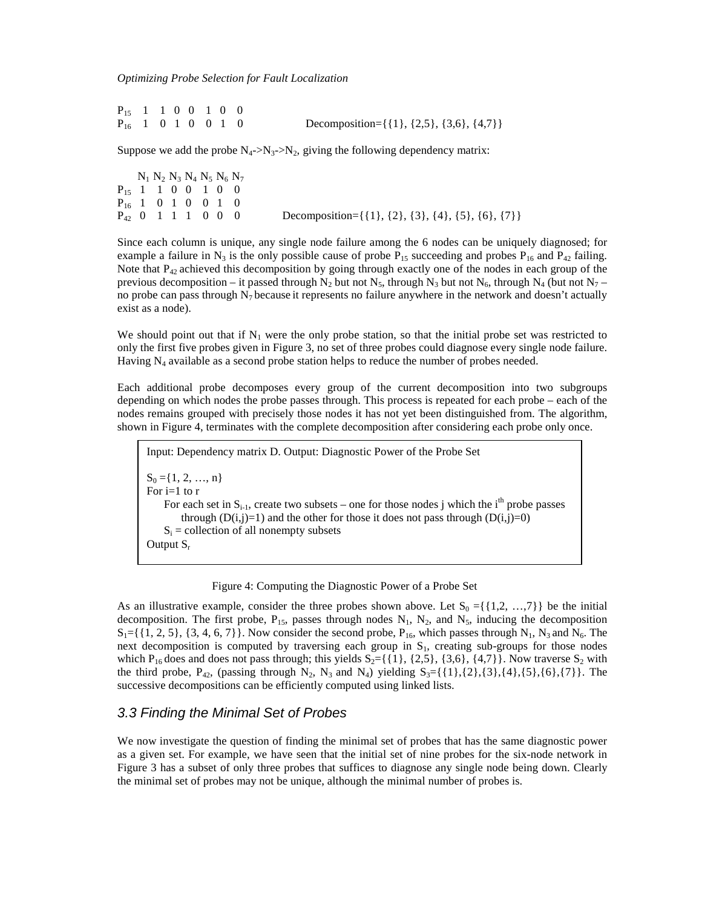| $P_{15}$ 1 1 0 0 1 0 0 |  |  |  |                                                        |
|------------------------|--|--|--|--------------------------------------------------------|
| $P_{16}$ 1 0 1 0 0 1 0 |  |  |  | Decomposition= $\{\{1\}, \{2,5\}, \{3,6\}, \{4,7\}\}\$ |

Suppose we add the probe  $N_4$ -> $N_3$ -> $N_2$ , giving the following dependency matrix:

|                        |  |  |  | $N_1 N_2 N_3 N_4 N_5 N_6 N_7$ |                                                                                       |
|------------------------|--|--|--|-------------------------------|---------------------------------------------------------------------------------------|
| $P_{15}$ 1 1 0 0 1 0 0 |  |  |  |                               |                                                                                       |
| $P_{16}$ 1 0 1 0 0 1 0 |  |  |  |                               |                                                                                       |
| $P_{42}$ 0 1 1 1 0 0 0 |  |  |  |                               | Decomposition={ $\{1\}$ , $\{2\}$ , $\{3\}$ , $\{4\}$ , $\{5\}$ , $\{6\}$ , $\{7\}$ } |

Since each column is unique, any single node failure among the 6 nodes can be uniquely diagnosed; for example a failure in N<sub>3</sub> is the only possible cause of probe  $P_{15}$  succeeding and probes  $P_{16}$  and  $P_{42}$  failing. Note that  $P_{42}$  achieved this decomposition by going through exactly one of the nodes in each group of the previous decomposition – it passed through N<sub>2</sub> but not N<sub>5</sub>, through N<sub>3</sub> but not N<sub>6</sub>, through N<sub>4</sub> (but not N<sub>7</sub> – no probe can pass through  $N<sub>7</sub>$  because it represents no failure anywhere in the network and doesn't actually exist as a node).

We should point out that if  $N_1$  were the only probe station, so that the initial probe set was restricted to only the first five probes given in Figure 3, no set of three probes could diagnose every single node failure. Having  $N_4$  available as a second probe station helps to reduce the number of probes needed.

Each additional probe decomposes every group of the current decomposition into two subgroups depending on which nodes the probe passes through. This process is repeated for each probe – each of the nodes remains grouped with precisely those nodes it has not yet been distinguished from. The algorithm, shown in Figure 4, terminates with the complete decomposition after considering each probe only once.

Input: Dependency matrix D. Output: Diagnostic Power of the Probe Set  $S_0 = \{1, 2, ..., n\}$ For i=1 to r For each set in  $S_{i-1}$ , create two subsets – one for those nodes j which the i<sup>th</sup> probe passes through  $(D(i,j)=1)$  and the other for those it does not pass through  $(D(i,j)=0)$  $S_i$  = collection of all nonempty subsets Output  $S_r$ 

Figure 4: Computing the Diagnostic Power of a Probe Set

As an illustrative example, consider the three probes shown above. Let  $S_0 = \{\{1,2, ..., 7\}\}\)$  be the initial decomposition. The first probe,  $P_{15}$ , passes through nodes  $N_1$ ,  $N_2$ , and  $N_5$ , inducing the decomposition  $S_1=\{\{1, 2, 5\}, \{3, 4, 6, 7\}\}\.$  Now consider the second probe,  $P_{16}$ , which passes through N<sub>1</sub>, N<sub>3</sub> and N<sub>6</sub>. The next decomposition is computed by traversing each group in  $S<sub>1</sub>$ , creating sub-groups for those nodes which P<sub>16</sub> does and does not pass through; this yields  $S_2 = \{\{1\}, \{2,5\}, \{3,6\}, \{4,7\}\}\$ . Now traverse  $S_2$  with the third probe,  $P_{42}$ , (passing through N<sub>2</sub>, N<sub>3</sub> and N<sub>4</sub>) yielding S<sub>3</sub>={{1},{2},{3},{4},{5},{6},{7}}. The successive decompositions can be efficiently computed using linked lists.

#### *3.3 Finding the Minimal Set of Probes*

We now investigate the question of finding the minimal set of probes that has the same diagnostic power as a given set. For example, we have seen that the initial set of nine probes for the six-node network in Figure 3 has a subset of only three probes that suffices to diagnose any single node being down. Clearly the minimal set of probes may not be unique, although the minimal number of probes is.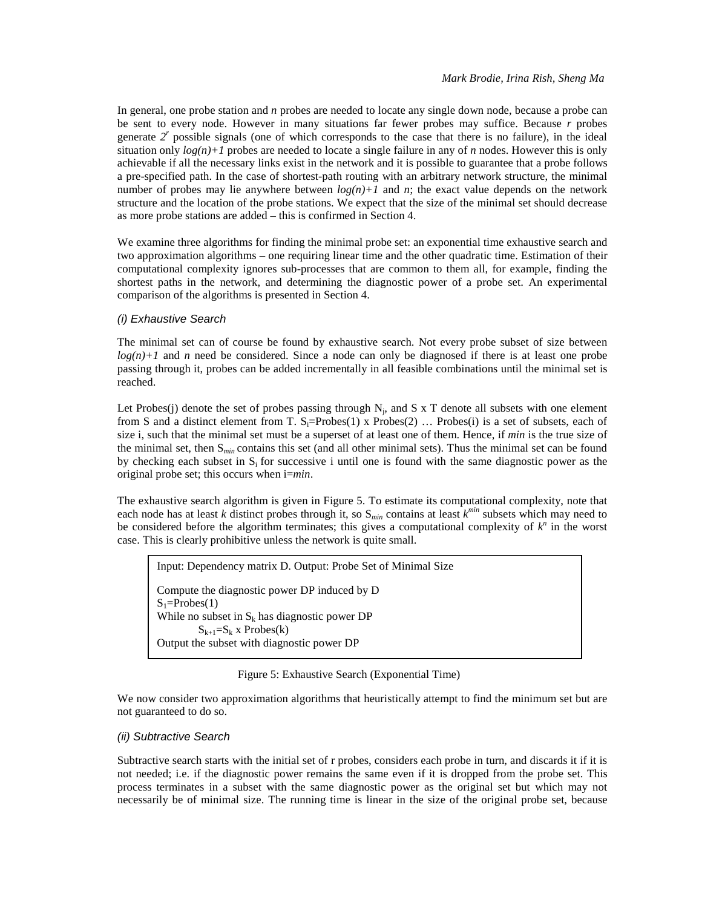In general, one probe station and *n* probes are needed to locate any single down node, because a probe can be sent to every node. However in many situations far fewer probes may suffice. Because *r* probes generate 2<sup>*r*</sup> possible signals (one of which corresponds to the case that there is no failure), in the ideal situation only  $log(n)+1$  probes are needed to locate a single failure in any of *n* nodes. However this is only achievable if all the necessary links exist in the network and it is possible to guarantee that a probe follows a pre-specified path. In the case of shortest-path routing with an arbitrary network structure, the minimal number of probes may lie anywhere between  $log(n)+1$  and *n*; the exact value depends on the network structure and the location of the probe stations. We expect that the size of the minimal set should decrease as more probe stations are added – this is confirmed in Section 4.

We examine three algorithms for finding the minimal probe set: an exponential time exhaustive search and two approximation algorithms – one requiring linear time and the other quadratic time. Estimation of their computational complexity ignores sub-processes that are common to them all, for example, finding the shortest paths in the network, and determining the diagnostic power of a probe set. An experimental comparison of the algorithms is presented in Section 4.

#### *(i) Exhaustive Search*

The minimal set can of course be found by exhaustive search. Not every probe subset of size between *log(n)+1* and *n* need be considered. Since a node can only be diagnosed if there is at least one probe passing through it, probes can be added incrementally in all feasible combinations until the minimal set is reached.

Let Probes(j) denote the set of probes passing through  $N_i$ , and S x T denote all subsets with one element from S and a distinct element from T.  $S_i = Probes(1)$  x Probes(2) ... Probes(i) is a set of subsets, each of size i, such that the minimal set must be a superset of at least one of them. Hence, if *min* is the true size of the minimal set, then S*min* contains this set (and all other minimal sets). Thus the minimal set can be found by checking each subset in  $S_i$  for successive i until one is found with the same diagnostic power as the original probe set; this occurs when i=*min*.

The exhaustive search algorithm is given in Figure 5. To estimate its computational complexity, note that each node has at least *k* distinct probes through it, so S*min* contains at least *k min* subsets which may need to be considered before the algorithm terminates; this gives a computational complexity of  $k^n$  in the worst case. This is clearly prohibitive unless the network is quite small.

Input: Dependency matrix D. Output: Probe Set of Minimal Size Compute the diagnostic power DP induced by D  $S_1 =$ Probes(1) While no subset in  $S_k$  has diagnostic power DP  $S_{k+1}=S_k$  x Probes(k) Output the subset with diagnostic power DP

#### Figure 5: Exhaustive Search (Exponential Time)

We now consider two approximation algorithms that heuristically attempt to find the minimum set but are not guaranteed to do so.

#### *(ii) Subtractive Search*

Subtractive search starts with the initial set of r probes, considers each probe in turn, and discards it if it is not needed; i.e. if the diagnostic power remains the same even if it is dropped from the probe set. This process terminates in a subset with the same diagnostic power as the original set but which may not necessarily be of minimal size. The running time is linear in the size of the original probe set, because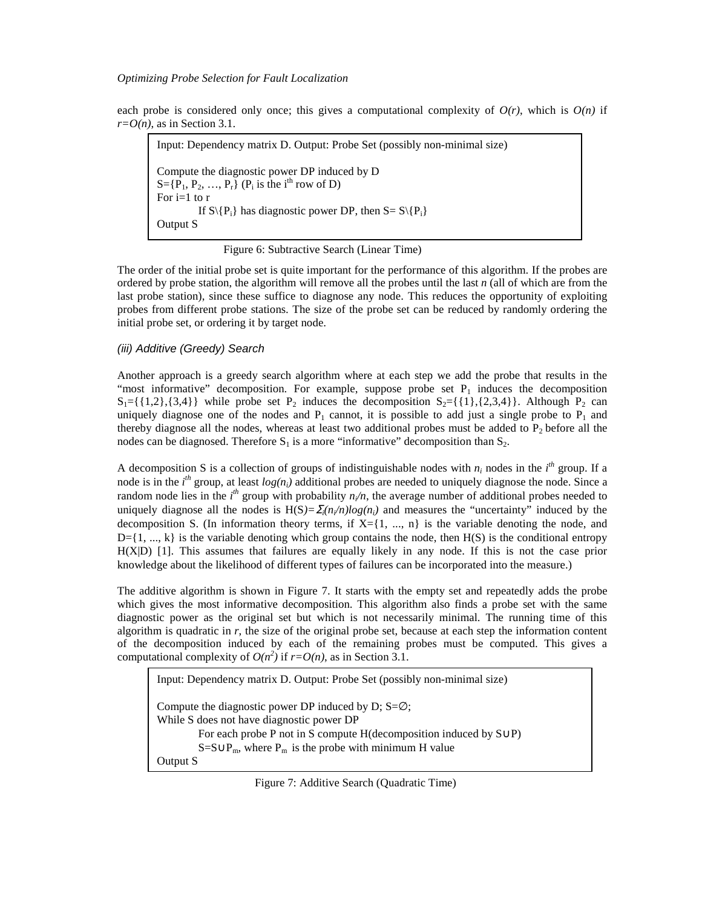each probe is considered only once; this gives a computational complexity of  $O(r)$ , which is  $O(n)$  if  $r=O(n)$ , as in Section 3.1.

Input: Dependency matrix D. Output: Probe Set (possibly non-minimal size) Compute the diagnostic power DP induced by D  $S = {P_1, P_2, ..., P_r}$  ( $P_i$  is the i<sup>th</sup> row of D) For  $i=1$  to  $r$ If  $S \setminus \{P_i\}$  has diagnostic power DP, then  $S = S \setminus \{P_i\}$ Output S

#### Figure 6: Subtractive Search (Linear Time)

The order of the initial probe set is quite important for the performance of this algorithm. If the probes are ordered by probe station, the algorithm will remove all the probes until the last *n* (all of which are from the last probe station), since these suffice to diagnose any node. This reduces the opportunity of exploiting probes from different probe stations. The size of the probe set can be reduced by randomly ordering the initial probe set, or ordering it by target node.

#### *(iii) Additive (Greedy) Search*

Another approach is a greedy search algorithm where at each step we add the probe that results in the "most informative" decomposition. For example, suppose probe set  $P_1$  induces the decomposition  $S_1=\{\{1,2\},\{3,4\}\}\$  while probe set P<sub>2</sub> induces the decomposition  $S_2=\{\{1\},\{2,3,4\}\}\$ . Although P<sub>2</sub> can uniquely diagnose one of the nodes and  $P_1$  cannot, it is possible to add just a single probe to  $P_1$  and thereby diagnose all the nodes, whereas at least two additional probes must be added to  $P_2$  before all the nodes can be diagnosed. Therefore  $S_1$  is a more "informative" decomposition than  $S_2$ .

A decomposition S is a collection of groups of indistinguishable nodes with  $n_i$  nodes in the  $i<sup>th</sup>$  group. If a node is in the *i th* group, at least *log(ni)* additional probes are needed to uniquely diagnose the node. Since a random node lies in the  $i<sup>th</sup>$  group with probability  $n/n$ , the average number of additional probes needed to uniquely diagnose all the nodes is  $H(S) = \sum_i (n_i/n) \log(n_i)$  and measures the "uncertainty" induced by the decomposition S. (In information theory terms, if  $X = \{1, ..., n\}$  is the variable denoting the node, and  $D=\{1, ..., k\}$  is the variable denoting which group contains the node, then H(S) is the conditional entropy H(X|D) [1]. This assumes that failures are equally likely in any node. If this is not the case prior knowledge about the likelihood of different types of failures can be incorporated into the measure.)

The additive algorithm is shown in Figure 7. It starts with the empty set and repeatedly adds the probe which gives the most informative decomposition. This algorithm also finds a probe set with the same diagnostic power as the original set but which is not necessarily minimal. The running time of this algorithm is quadratic in *r*, the size of the original probe set, because at each step the information content of the decomposition induced by each of the remaining probes must be computed. This gives a computational complexity of  $O(n^2)$  if  $r = O(n)$ , as in Section 3.1.

Input: Dependency matrix D. Output: Probe Set (possibly non-minimal size) Compute the diagnostic power DP induced by D;  $S = \emptyset$ ; While S does not have diagnostic power DP For each probe P not in S compute H(decomposition induced by S∪P)  $S=S\cup P_m$ , where  $P_m$  is the probe with minimum H value Output S

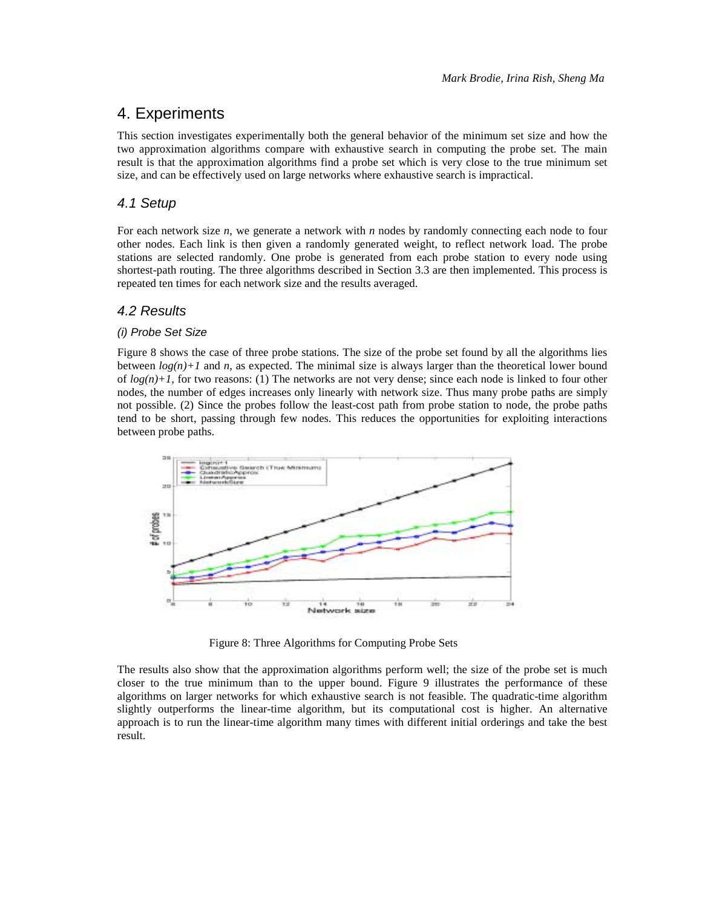# 4. Experiments

This section investigates experimentally both the general behavior of the minimum set size and how the two approximation algorithms compare with exhaustive search in computing the probe set. The main result is that the approximation algorithms find a probe set which is very close to the true minimum set size, and can be effectively used on large networks where exhaustive search is impractical.

# *4.1 Setup*

For each network size *n*, we generate a network with *n* nodes by randomly connecting each node to four other nodes. Each link is then given a randomly generated weight, to reflect network load. The probe stations are selected randomly. One probe is generated from each probe station to every node using shortest-path routing. The three algorithms described in Section 3.3 are then implemented. This process is repeated ten times for each network size and the results averaged.

### *4.2 Results*

#### *(i) Probe Set Size*

Figure 8 shows the case of three probe stations. The size of the probe set found by all the algorithms lies between  $log(n)+1$  and *n*, as expected. The minimal size is always larger than the theoretical lower bound of  $log(n)+1$ , for two reasons: (1) The networks are not very dense; since each node is linked to four other nodes, the number of edges increases only linearly with network size. Thus many probe paths are simply not possible. (2) Since the probes follow the least-cost path from probe station to node, the probe paths tend to be short, passing through few nodes. This reduces the opportunities for exploiting interactions between probe paths.



Figure 8: Three Algorithms for Computing Probe Sets

The results also show that the approximation algorithms perform well; the size of the probe set is much closer to the true minimum than to the upper bound. Figure 9 illustrates the performance of these algorithms on larger networks for which exhaustive search is not feasible. The quadratic-time algorithm slightly outperforms the linear-time algorithm, but its computational cost is higher. An alternative approach is to run the linear-time algorithm many times with different initial orderings and take the best result.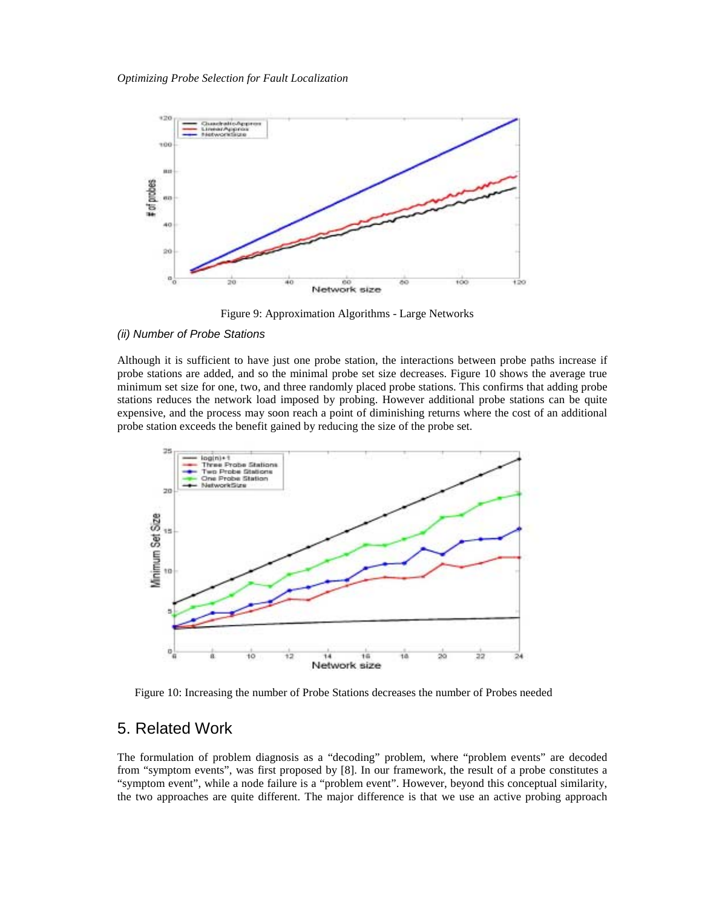

Figure 9: Approximation Algorithms - Large Networks

#### *(ii) Number of Probe Stations*

Although it is sufficient to have just one probe station, the interactions between probe paths increase if probe stations are added, and so the minimal probe set size decreases. Figure 10 shows the average true minimum set size for one, two, and three randomly placed probe stations. This confirms that adding probe stations reduces the network load imposed by probing. However additional probe stations can be quite expensive, and the process may soon reach a point of diminishing returns where the cost of an additional probe station exceeds the benefit gained by reducing the size of the probe set.



Figure 10: Increasing the number of Probe Stations decreases the number of Probes needed

# 5. Related Work

The formulation of problem diagnosis as a "decoding" problem, where "problem events" are decoded from "symptom events", was first proposed by [8]. In our framework, the result of a probe constitutes a "symptom event", while a node failure is a "problem event". However, beyond this conceptual similarity, the two approaches are quite different. The major difference is that we use an active probing approach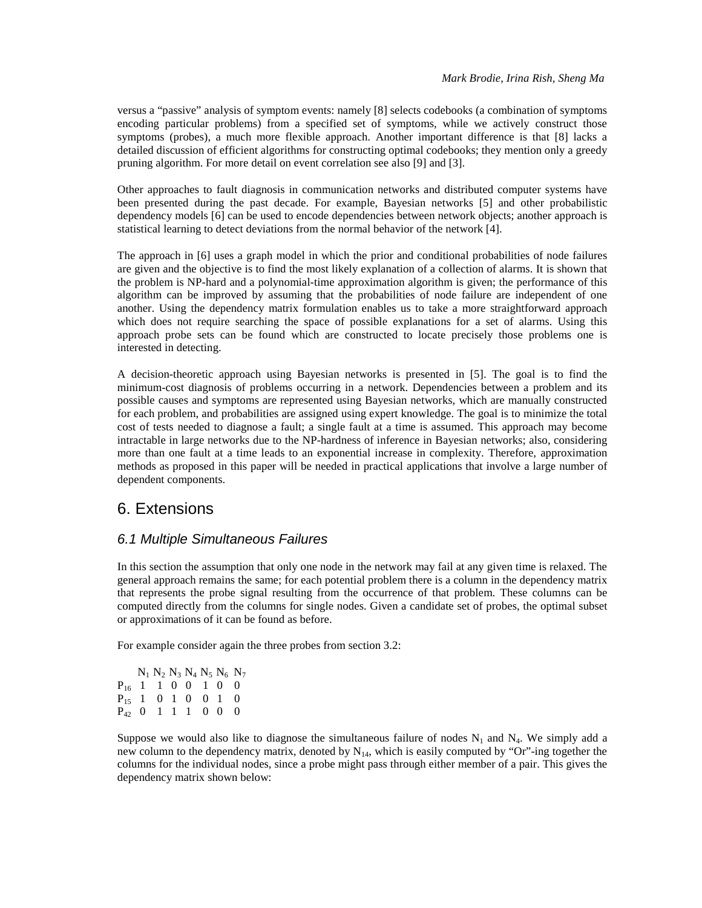versus a "passive" analysis of symptom events: namely [8] selects codebooks (a combination of symptoms encoding particular problems) from a specified set of symptoms, while we actively construct those symptoms (probes), a much more flexible approach. Another important difference is that [8] lacks a detailed discussion of efficient algorithms for constructing optimal codebooks; they mention only a greedy pruning algorithm. For more detail on event correlation see also [9] and [3].

Other approaches to fault diagnosis in communication networks and distributed computer systems have been presented during the past decade. For example, Bayesian networks [5] and other probabilistic dependency models [6] can be used to encode dependencies between network objects; another approach is statistical learning to detect deviations from the normal behavior of the network [4].

The approach in [6] uses a graph model in which the prior and conditional probabilities of node failures are given and the objective is to find the most likely explanation of a collection of alarms. It is shown that the problem is NP-hard and a polynomial-time approximation algorithm is given; the performance of this algorithm can be improved by assuming that the probabilities of node failure are independent of one another. Using the dependency matrix formulation enables us to take a more straightforward approach which does not require searching the space of possible explanations for a set of alarms. Using this approach probe sets can be found which are constructed to locate precisely those problems one is interested in detecting.

A decision-theoretic approach using Bayesian networks is presented in [5]. The goal is to find the minimum-cost diagnosis of problems occurring in a network. Dependencies between a problem and its possible causes and symptoms are represented using Bayesian networks, which are manually constructed for each problem, and probabilities are assigned using expert knowledge. The goal is to minimize the total cost of tests needed to diagnose a fault; a single fault at a time is assumed. This approach may become intractable in large networks due to the NP-hardness of inference in Bayesian networks; also, considering more than one fault at a time leads to an exponential increase in complexity. Therefore, approximation methods as proposed in this paper will be needed in practical applications that involve a large number of dependent components.

# 6. Extensions

### *6.1 Multiple Simultaneous Failures*

In this section the assumption that only one node in the network may fail at any given time is relaxed. The general approach remains the same; for each potential problem there is a column in the dependency matrix that represents the probe signal resulting from the occurrence of that problem. These columns can be computed directly from the columns for single nodes. Given a candidate set of probes, the optimal subset or approximations of it can be found as before.

For example consider again the three probes from section 3.2:

 $N_1 N_2 N_3 N_4 N_5 N_6 N_7$ P<sub>16</sub> 1 1 0 0 1 0 0 P15 1 0 1 0 0 1 0 P42 0 1 1 1 0 0 0

Suppose we would also like to diagnose the simultaneous failure of nodes  $N_1$  and  $N_4$ . We simply add a new column to the dependency matrix, denoted by  $N_{14}$ , which is easily computed by "Or"-ing together the columns for the individual nodes, since a probe might pass through either member of a pair. This gives the dependency matrix shown below: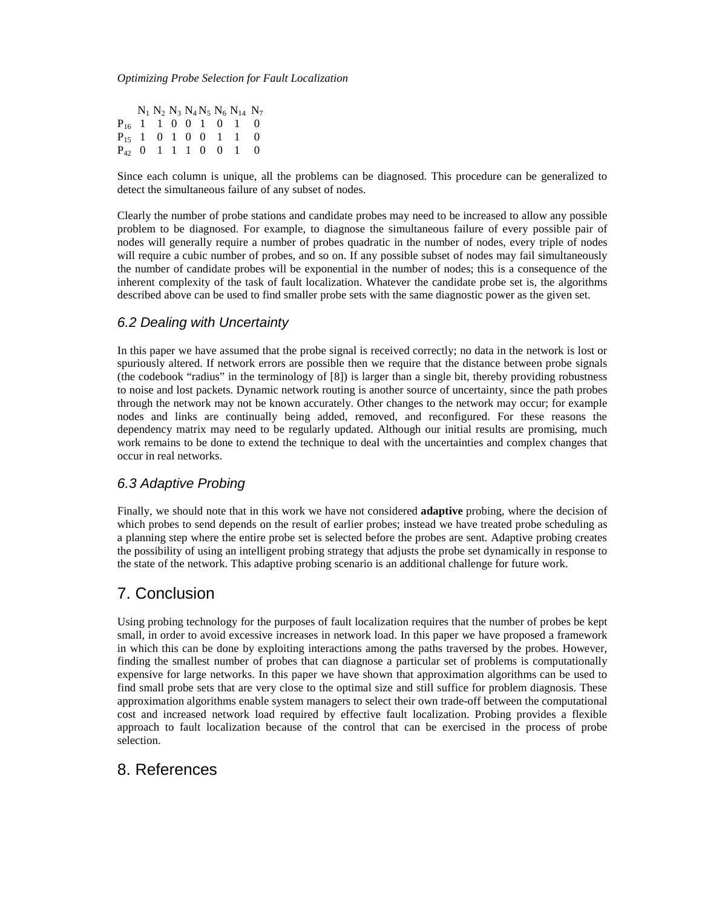|  |  |  | $N_1 N_2 N_3 N_4 N_5 N_6 N_{14} N_7$ |  |
|--|--|--|--------------------------------------|--|
|  |  |  | $P_{16}$ 1 1 0 0 1 0 1 0             |  |
|  |  |  | $P_{15}$ 1 0 1 0 0 1 1 0             |  |
|  |  |  | $P_{42}$ 0 1 1 1 0 0 1 0             |  |

Since each column is unique, all the problems can be diagnosed. This procedure can be generalized to detect the simultaneous failure of any subset of nodes.

Clearly the number of probe stations and candidate probes may need to be increased to allow any possible problem to be diagnosed. For example, to diagnose the simultaneous failure of every possible pair of nodes will generally require a number of probes quadratic in the number of nodes, every triple of nodes will require a cubic number of probes, and so on. If any possible subset of nodes may fail simultaneously the number of candidate probes will be exponential in the number of nodes; this is a consequence of the inherent complexity of the task of fault localization. Whatever the candidate probe set is, the algorithms described above can be used to find smaller probe sets with the same diagnostic power as the given set.

### *6.2 Dealing with Uncertainty*

In this paper we have assumed that the probe signal is received correctly; no data in the network is lost or spuriously altered. If network errors are possible then we require that the distance between probe signals (the codebook "radius" in the terminology of [8]) is larger than a single bit, thereby providing robustness to noise and lost packets. Dynamic network routing is another source of uncertainty, since the path probes through the network may not be known accurately. Other changes to the network may occur; for example nodes and links are continually being added, removed, and reconfigured. For these reasons the dependency matrix may need to be regularly updated. Although our initial results are promising, much work remains to be done to extend the technique to deal with the uncertainties and complex changes that occur in real networks.

# *6.3 Adaptive Probing*

Finally, we should note that in this work we have not considered **adaptive** probing, where the decision of which probes to send depends on the result of earlier probes; instead we have treated probe scheduling as a planning step where the entire probe set is selected before the probes are sent. Adaptive probing creates the possibility of using an intelligent probing strategy that adjusts the probe set dynamically in response to the state of the network. This adaptive probing scenario is an additional challenge for future work.

# 7. Conclusion

Using probing technology for the purposes of fault localization requires that the number of probes be kept small, in order to avoid excessive increases in network load. In this paper we have proposed a framework in which this can be done by exploiting interactions among the paths traversed by the probes. However, finding the smallest number of probes that can diagnose a particular set of problems is computationally expensive for large networks. In this paper we have shown that approximation algorithms can be used to find small probe sets that are very close to the optimal size and still suffice for problem diagnosis. These approximation algorithms enable system managers to select their own trade-off between the computational cost and increased network load required by effective fault localization. Probing provides a flexible approach to fault localization because of the control that can be exercised in the process of probe selection.

# 8. References